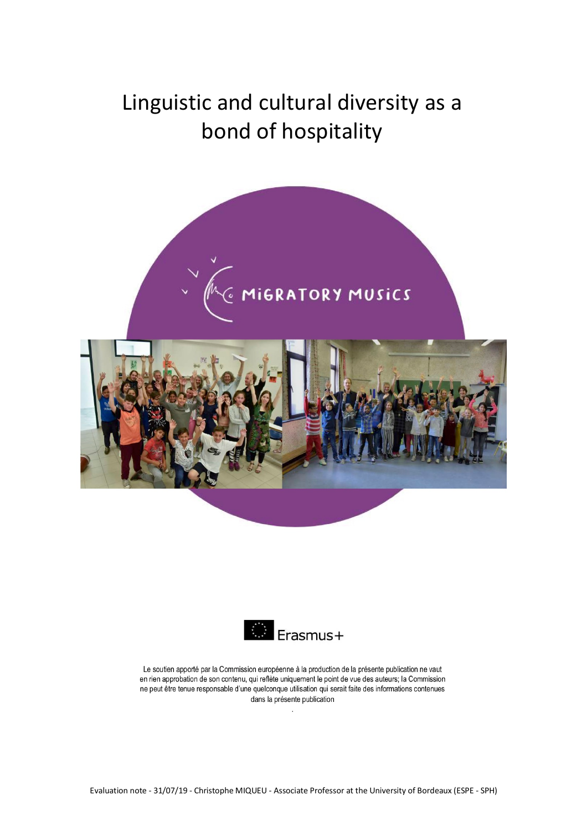# Linguistic and cultural diversity as a bond of hospitality





Le soutien apporté par la Commission européenne à la production de la présente publication ne vaut en rien approbation de son contenu, qui reflète uniquement le point de vue des auteurs; la Commission ne peut être tenue responsable d'une quelconque utilisation qui serait faite des informations contenues dans la présente publication

 $\ddot{\phantom{a}}$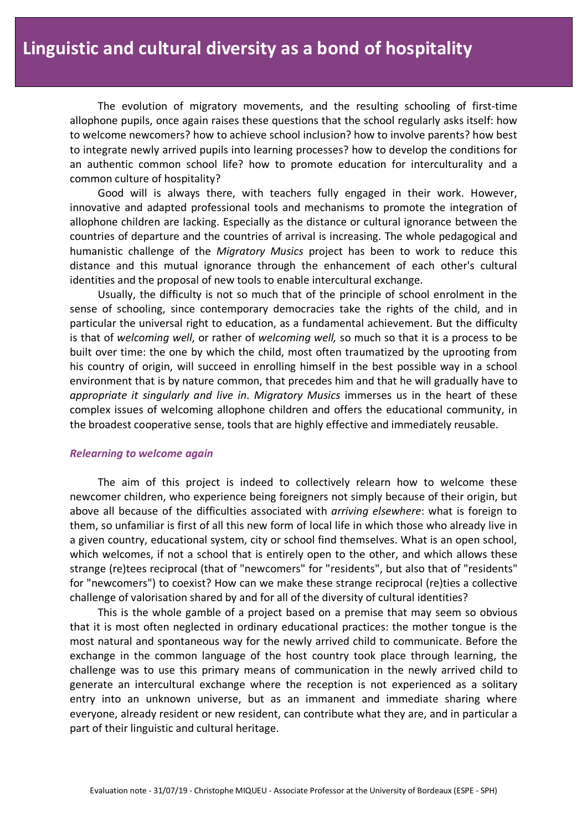The evolution of migratory movements, and the resulting schooling of first-time allophone pupils, once again raises these questions that the school regularly asks itself: how to welcome newcomers? how to achieve school inclusion? how to involve parents? how best to integrate newly arrived pupils into learning processes? how to develop the conditions for an authentic common school life? how to promote education for interculturality and a common culture of hospitality?

Good will is always there, with teachers fully engaged in their work. However, innovative and adapted professional tools and mechanisms to promote the integration of allophone children are lacking. Especially as the distance or cultural ignorance between the countries of departure and the countries of arrival is increasing. The whole pedagogical and humanistic challenge of the *Migratory Musics* project has been to work to reduce this distance and this mutual ignorance through the enhancement of each other's cultural identities and the proposal of new tools to enable intercultural exchange.

Usually, the difficulty is not so much that of the principle of school enrolment in the sense of schooling, since contemporary democracies take the rights of the child, and in particular the universal right to education, as a fundamental achievement. But the difficulty is that of *welcoming well*, or rather of *welcoming well,* so much so that it is a process to be built over time: the one by which the child, most often traumatized by the uprooting from his country of origin, will succeed in enrolling himself in the best possible way in a school environment that is by nature common, that precedes him and that he will gradually have to *appropriate it singularly and live in*. *Migratory Musics* immerses us in the heart of these complex issues of welcoming allophone children and offers the educational community, in the broadest cooperative sense, tools that are highly effective and immediately reusable.

## *Relearning to welcome again*

The aim of this project is indeed to collectively relearn how to welcome these newcomer children, who experience being foreigners not simply because of their origin, but above all because of the difficulties associated with *arriving elsewhere*: what is foreign to them, so unfamiliar is first of all this new form of local life in which those who already live in a given country, educational system, city or school find themselves. What is an open school, which welcomes, if not a school that is entirely open to the other, and which allows these strange (re)tees reciprocal (that of "newcomers" for "residents", but also that of "residents" for "newcomers") to coexist? How can we make these strange reciprocal (re)ties a collective challenge of valorisation shared by and for all of the diversity of cultural identities?

This is the whole gamble of a project based on a premise that may seem so obvious that it is most often neglected in ordinary educational practices: the mother tongue is the most natural and spontaneous way for the newly arrived child to communicate. Before the exchange in the common language of the host country took place through learning, the challenge was to use this primary means of communication in the newly arrived child to generate an intercultural exchange where the reception is not experienced as a solitary entry into an unknown universe, but as an immanent and immediate sharing where everyone, already resident or new resident, can contribute what they are, and in particular a part of their linguistic and cultural heritage.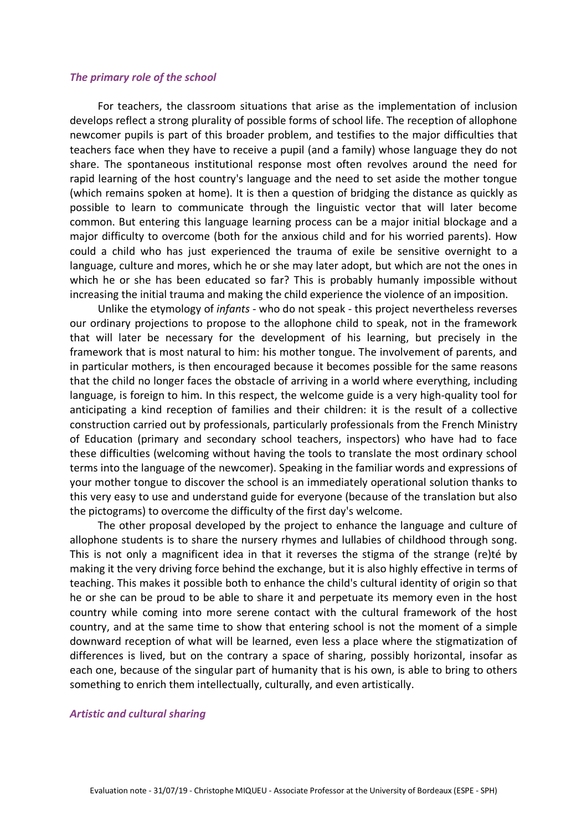### *The primary role of the school*

For teachers, the classroom situations that arise as the implementation of inclusion develops reflect a strong plurality of possible forms of school life. The reception of allophone newcomer pupils is part of this broader problem, and testifies to the major difficulties that teachers face when they have to receive a pupil (and a family) whose language they do not share. The spontaneous institutional response most often revolves around the need for rapid learning of the host country's language and the need to set aside the mother tongue (which remains spoken at home). It is then a question of bridging the distance as quickly as possible to learn to communicate through the linguistic vector that will later become common. But entering this language learning process can be a major initial blockage and a major difficulty to overcome (both for the anxious child and for his worried parents). How could a child who has just experienced the trauma of exile be sensitive overnight to a language, culture and mores, which he or she may later adopt, but which are not the ones in which he or she has been educated so far? This is probably humanly impossible without increasing the initial trauma and making the child experience the violence of an imposition.

Unlike the etymology of *infants* - who do not speak - this project nevertheless reverses our ordinary projections to propose to the allophone child to speak, not in the framework that will later be necessary for the development of his learning, but precisely in the framework that is most natural to him: his mother tongue. The involvement of parents, and in particular mothers, is then encouraged because it becomes possible for the same reasons that the child no longer faces the obstacle of arriving in a world where everything, including language, is foreign to him. In this respect, the welcome guide is a very high-quality tool for anticipating a kind reception of families and their children: it is the result of a collective construction carried out by professionals, particularly professionals from the French Ministry of Education (primary and secondary school teachers, inspectors) who have had to face these difficulties (welcoming without having the tools to translate the most ordinary school terms into the language of the newcomer). Speaking in the familiar words and expressions of your mother tongue to discover the school is an immediately operational solution thanks to this very easy to use and understand guide for everyone (because of the translation but also the pictograms) to overcome the difficulty of the first day's welcome.

The other proposal developed by the project to enhance the language and culture of allophone students is to share the nursery rhymes and lullabies of childhood through song. This is not only a magnificent idea in that it reverses the stigma of the strange (re)té by making it the very driving force behind the exchange, but it is also highly effective in terms of teaching. This makes it possible both to enhance the child's cultural identity of origin so that he or she can be proud to be able to share it and perpetuate its memory even in the host country while coming into more serene contact with the cultural framework of the host country, and at the same time to show that entering school is not the moment of a simple downward reception of what will be learned, even less a place where the stigmatization of differences is lived, but on the contrary a space of sharing, possibly horizontal, insofar as each one, because of the singular part of humanity that is his own, is able to bring to others something to enrich them intellectually, culturally, and even artistically.

#### *Artistic and cultural sharing*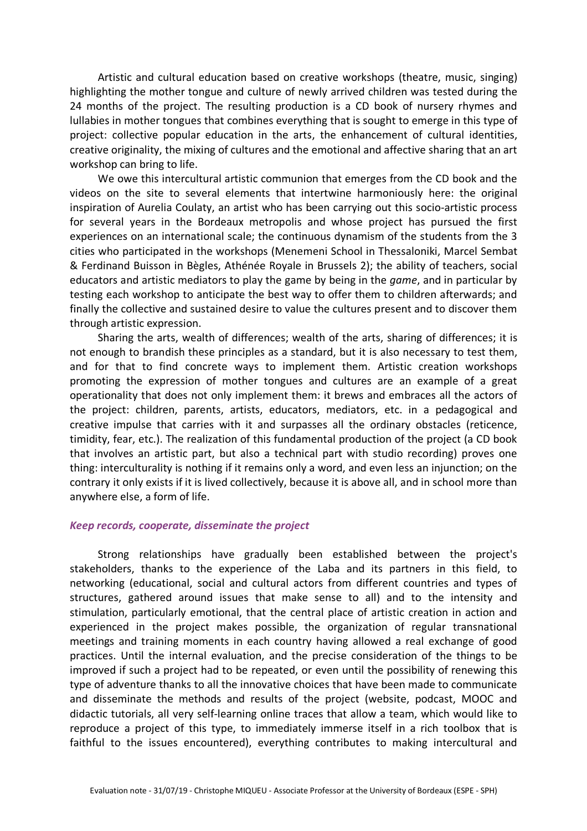Artistic and cultural education based on creative workshops (theatre, music, singing) highlighting the mother tongue and culture of newly arrived children was tested during the 24 months of the project. The resulting production is a CD book of nursery rhymes and lullabies in mother tongues that combines everything that is sought to emerge in this type of project: collective popular education in the arts, the enhancement of cultural identities, creative originality, the mixing of cultures and the emotional and affective sharing that an art workshop can bring to life.

We owe this intercultural artistic communion that emerges from the CD book and the videos on the site to several elements that intertwine harmoniously here: the original inspiration of Aurelia Coulaty, an artist who has been carrying out this socio-artistic process for several years in the Bordeaux metropolis and whose project has pursued the first experiences on an international scale; the continuous dynamism of the students from the 3 cities who participated in the workshops (Menemeni School in Thessaloniki, Marcel Sembat & Ferdinand Buisson in Bègles, Athénée Royale in Brussels 2); the ability of teachers, social educators and artistic mediators to play the game by being in the *game*, and in particular by testing each workshop to anticipate the best way to offer them to children afterwards; and finally the collective and sustained desire to value the cultures present and to discover them through artistic expression.

Sharing the arts, wealth of differences; wealth of the arts, sharing of differences; it is not enough to brandish these principles as a standard, but it is also necessary to test them, and for that to find concrete ways to implement them. Artistic creation workshops promoting the expression of mother tongues and cultures are an example of a great operationality that does not only implement them: it brews and embraces all the actors of the project: children, parents, artists, educators, mediators, etc. in a pedagogical and creative impulse that carries with it and surpasses all the ordinary obstacles (reticence, timidity, fear, etc.). The realization of this fundamental production of the project (a CD book that involves an artistic part, but also a technical part with studio recording) proves one thing: interculturality is nothing if it remains only a word, and even less an injunction; on the contrary it only exists if it is lived collectively, because it is above all, and in school more than anywhere else, a form of life.

## *Keep records, cooperate, disseminate the project*

Strong relationships have gradually been established between the project's stakeholders, thanks to the experience of the Laba and its partners in this field, to networking (educational, social and cultural actors from different countries and types of structures, gathered around issues that make sense to all) and to the intensity and stimulation, particularly emotional, that the central place of artistic creation in action and experienced in the project makes possible, the organization of regular transnational meetings and training moments in each country having allowed a real exchange of good practices. Until the internal evaluation, and the precise consideration of the things to be improved if such a project had to be repeated, or even until the possibility of renewing this type of adventure thanks to all the innovative choices that have been made to communicate and disseminate the methods and results of the project (website, podcast, MOOC and didactic tutorials, all very self-learning online traces that allow a team, which would like to reproduce a project of this type, to immediately immerse itself in a rich toolbox that is faithful to the issues encountered), everything contributes to making intercultural and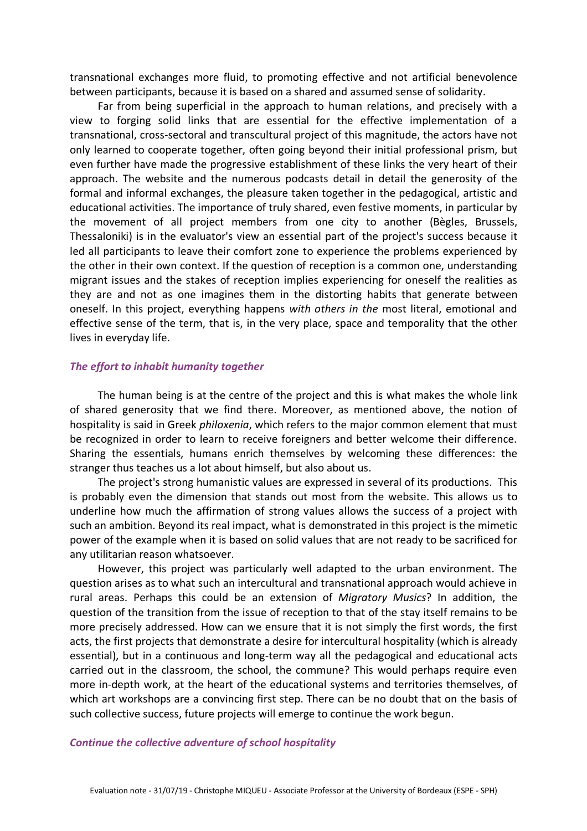transnational exchanges more fluid, to promoting effective and not artificial benevolence between participants, because it is based on a shared and assumed sense of solidarity.

Far from being superficial in the approach to human relations, and precisely with a view to forging solid links that are essential for the effective implementation of a transnational, cross-sectoral and transcultural project of this magnitude, the actors have not only learned to cooperate together, often going beyond their initial professional prism, but even further have made the progressive establishment of these links the very heart of their approach. The website and the numerous podcasts detail in detail the generosity of the formal and informal exchanges, the pleasure taken together in the pedagogical, artistic and educational activities. The importance of truly shared, even festive moments, in particular by the movement of all project members from one city to another (Bègles, Brussels, Thessaloniki) is in the evaluator's view an essential part of the project's success because it led all participants to leave their comfort zone to experience the problems experienced by the other in their own context. If the question of reception is a common one, understanding migrant issues and the stakes of reception implies experiencing for oneself the realities as they are and not as one imagines them in the distorting habits that generate between oneself. In this project, everything happens *with others in the* most literal, emotional and effective sense of the term, that is, in the very place, space and temporality that the other lives in everyday life.

## *The effort to inhabit humanity together*

The human being is at the centre of the project and this is what makes the whole link of shared generosity that we find there. Moreover, as mentioned above, the notion of hospitality is said in Greek *philoxenia*, which refers to the major common element that must be recognized in order to learn to receive foreigners and better welcome their difference. Sharing the essentials, humans enrich themselves by welcoming these differences: the stranger thus teaches us a lot about himself, but also about us.

The project's strong humanistic values are expressed in several of its productions. This is probably even the dimension that stands out most from the website. This allows us to underline how much the affirmation of strong values allows the success of a project with such an ambition. Beyond its real impact, what is demonstrated in this project is the mimetic power of the example when it is based on solid values that are not ready to be sacrificed for any utilitarian reason whatsoever.

However, this project was particularly well adapted to the urban environment. The question arises as to what such an intercultural and transnational approach would achieve in rural areas. Perhaps this could be an extension of *Migratory Musics*? In addition, the question of the transition from the issue of reception to that of the stay itself remains to be more precisely addressed. How can we ensure that it is not simply the first words, the first acts, the first projects that demonstrate a desire for intercultural hospitality (which is already essential), but in a continuous and long-term way all the pedagogical and educational acts carried out in the classroom, the school, the commune? This would perhaps require even more in-depth work, at the heart of the educational systems and territories themselves, of which art workshops are a convincing first step. There can be no doubt that on the basis of such collective success, future projects will emerge to continue the work begun.

## *Continue the collective adventure of school hospitality*